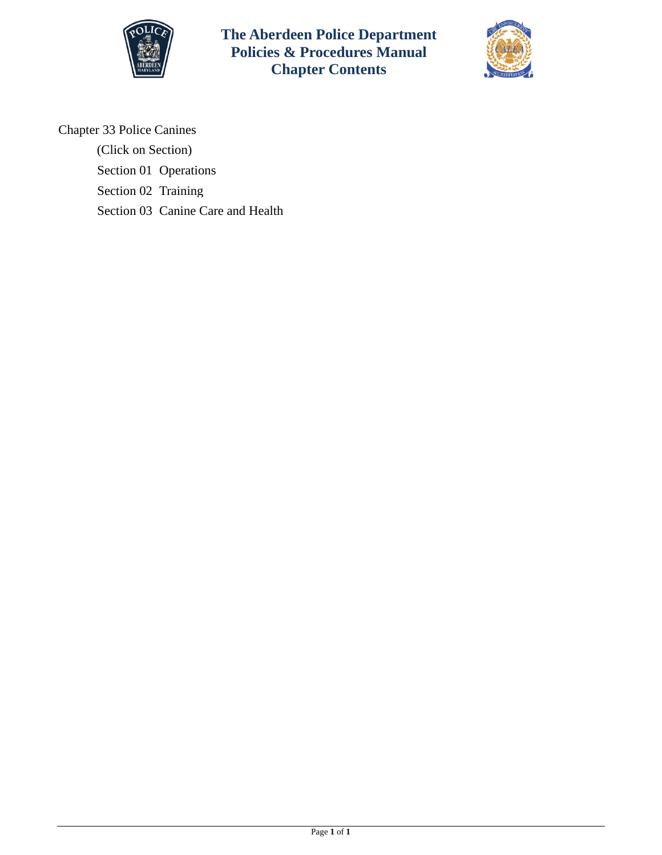

**The Aberdeen Police Department Policies & Procedures Manual Chapter Contents**



Chapter 33 Police Canines

(Click on Section)

[Section 01 Operations](#page-1-0)

[Section 02 Training](#page-6-0)

[Section 03 Canine Care and Health](#page-8-0)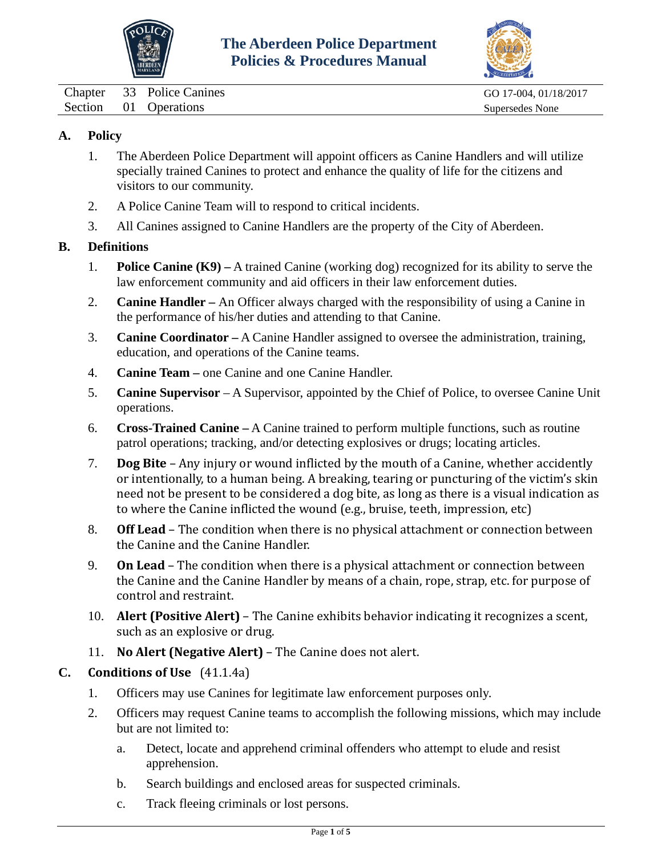



<span id="page-1-0"></span>Chapter 33 Police Canines GO 17-004, 01/18/2017

Section 01 Operations Supersedes None

## **A. Policy**

- 1. The Aberdeen Police Department will appoint officers as Canine Handlers and will utilize specially trained Canines to protect and enhance the quality of life for the citizens and visitors to our community.
- 2. A Police Canine Team will to respond to critical incidents.
- 3. All Canines assigned to Canine Handlers are the property of the City of Aberdeen.

## **B. Definitions**

- 1. **Police Canine (K9) –** A trained Canine (working dog) recognized for its ability to serve the law enforcement community and aid officers in their law enforcement duties.
- 2. **Canine Handler –** An Officer always charged with the responsibility of using a Canine in the performance of his/her duties and attending to that Canine.
- 3. **Canine Coordinator –** A Canine Handler assigned to oversee the administration, training, education, and operations of the Canine teams.
- 4. **Canine Team –** one Canine and one Canine Handler.
- 5. **Canine Supervisor** A Supervisor, appointed by the Chief of Police, to oversee Canine Unit operations.
- 6. **Cross-Trained Canine –** A Canine trained to perform multiple functions, such as routine patrol operations; tracking, and/or detecting explosives or drugs; locating articles.
- 7. **Dog Bite** Any injury or wound inflicted by the mouth of a Canine, whether accidently or intentionally, to a human being. A breaking, tearing or puncturing of the victim's skin need not be present to be considered a dog bite, as long as there is a visual indication as to where the Canine inflicted the wound (e.g., bruise, teeth, impression, etc)
- 8. **Off Lead** The condition when there is no physical attachment or connection between the Canine and the Canine Handler.
- 9. **On Lead** The condition when there is a physical attachment or connection between the Canine and the Canine Handler by means of a chain, rope, strap, etc. for purpose of control and restraint.
- 10. **Alert (Positive Alert)** The Canine exhibits behavior indicating it recognizes a scent, such as an explosive or drug.
- 11. **No Alert (Negative Alert)** The Canine does not alert.

## **C. Conditions of Use** (41.1.4a)

- 1. Officers may use Canines for legitimate law enforcement purposes only.
- 2. Officers may request Canine teams to accomplish the following missions, which may include but are not limited to:
	- a. Detect, locate and apprehend criminal offenders who attempt to elude and resist apprehension.
	- b. Search buildings and enclosed areas for suspected criminals.
	- c. Track fleeing criminals or lost persons.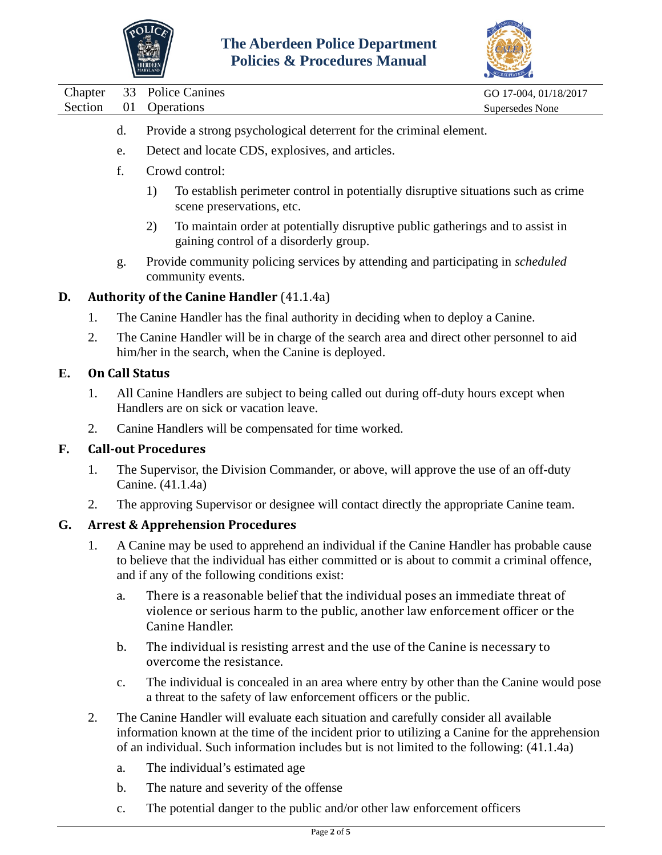



|         |                                                                                                                                                                                                                                                  |                                                                                                                                                  | ABERDEE<br><b>LARVEAN</b> | <b>Policies &amp; Procedures Manual</b>                                                                                                                                            |                       |  |  |  |  |
|---------|--------------------------------------------------------------------------------------------------------------------------------------------------------------------------------------------------------------------------------------------------|--------------------------------------------------------------------------------------------------------------------------------------------------|---------------------------|------------------------------------------------------------------------------------------------------------------------------------------------------------------------------------|-----------------------|--|--|--|--|
| Chapter |                                                                                                                                                                                                                                                  | 33                                                                                                                                               |                           | <b>Police Canines</b>                                                                                                                                                              | GO 17-004, 01/18/2017 |  |  |  |  |
| Section |                                                                                                                                                                                                                                                  | 01                                                                                                                                               |                           | Operations                                                                                                                                                                         | Supersedes None       |  |  |  |  |
|         |                                                                                                                                                                                                                                                  | d.                                                                                                                                               |                           | Provide a strong psychological deterrent for the criminal element.                                                                                                                 |                       |  |  |  |  |
|         |                                                                                                                                                                                                                                                  | e.                                                                                                                                               |                           | Detect and locate CDS, explosives, and articles.                                                                                                                                   |                       |  |  |  |  |
|         |                                                                                                                                                                                                                                                  | f.                                                                                                                                               |                           | Crowd control:                                                                                                                                                                     |                       |  |  |  |  |
|         |                                                                                                                                                                                                                                                  |                                                                                                                                                  | 1)                        | To establish perimeter control in potentially disruptive situations such as crime<br>scene preservations, etc.                                                                     |                       |  |  |  |  |
|         |                                                                                                                                                                                                                                                  |                                                                                                                                                  | 2)                        | To maintain order at potentially disruptive public gatherings and to assist in<br>gaining control of a disorderly group.                                                           |                       |  |  |  |  |
|         |                                                                                                                                                                                                                                                  | g.                                                                                                                                               |                           | Provide community policing services by attending and participating in scheduled<br>community events.                                                                               |                       |  |  |  |  |
| D.      |                                                                                                                                                                                                                                                  | <b>Authority of the Canine Handler (41.1.4a)</b>                                                                                                 |                           |                                                                                                                                                                                    |                       |  |  |  |  |
|         | 1.                                                                                                                                                                                                                                               | The Canine Handler has the final authority in deciding when to deploy a Canine.                                                                  |                           |                                                                                                                                                                                    |                       |  |  |  |  |
|         | 2.                                                                                                                                                                                                                                               | The Canine Handler will be in charge of the search area and direct other personnel to aid<br>him/her in the search, when the Canine is deployed. |                           |                                                                                                                                                                                    |                       |  |  |  |  |
| E.      |                                                                                                                                                                                                                                                  | <b>On Call Status</b>                                                                                                                            |                           |                                                                                                                                                                                    |                       |  |  |  |  |
|         | 1.                                                                                                                                                                                                                                               | All Canine Handlers are subject to being called out during off-duty hours except when<br>Handlers are on sick or vacation leave.                 |                           |                                                                                                                                                                                    |                       |  |  |  |  |
|         | 2.                                                                                                                                                                                                                                               | Canine Handlers will be compensated for time worked.                                                                                             |                           |                                                                                                                                                                                    |                       |  |  |  |  |
| F.      |                                                                                                                                                                                                                                                  | <b>Call-out Procedures</b>                                                                                                                       |                           |                                                                                                                                                                                    |                       |  |  |  |  |
|         | 1.                                                                                                                                                                                                                                               | The Supervisor, the Division Commander, or above, will approve the use of an off-duty<br>Canine. (41.1.4a)                                       |                           |                                                                                                                                                                                    |                       |  |  |  |  |
|         | 2.                                                                                                                                                                                                                                               |                                                                                                                                                  |                           | The approving Supervisor or designee will contact directly the appropriate Canine team.                                                                                            |                       |  |  |  |  |
| G.      |                                                                                                                                                                                                                                                  | <b>Arrest &amp; Apprehension Procedures</b>                                                                                                      |                           |                                                                                                                                                                                    |                       |  |  |  |  |
|         | 1.<br>A Canine may be used to apprehend an individual if the Canine Handler has probable cause<br>to believe that the individual has either committed or is about to commit a criminal offence,<br>and if any of the following conditions exist: |                                                                                                                                                  |                           |                                                                                                                                                                                    |                       |  |  |  |  |
|         |                                                                                                                                                                                                                                                  | a.                                                                                                                                               |                           | There is a reasonable belief that the individual poses an immediate threat of<br>violence or serious harm to the public, another law enforcement officer or the<br>Canine Handler. |                       |  |  |  |  |
|         |                                                                                                                                                                                                                                                  | b.                                                                                                                                               |                           | The individual is resisting arrest and the use of the Canine is necessary to                                                                                                       |                       |  |  |  |  |

- overcome the resistance.
- c. The individual is concealed in an area where entry by other than the Canine would pose a threat to the safety of law enforcement officers or the public.
- 2. The Canine Handler will evaluate each situation and carefully consider all available information known at the time of the incident prior to utilizing a Canine for the apprehension of an individual. Such information includes but is not limited to the following: (41.1.4a)
	- a. The individual's estimated age
	- b. The nature and severity of the offense
	- c. The potential danger to the public and/or other law enforcement officers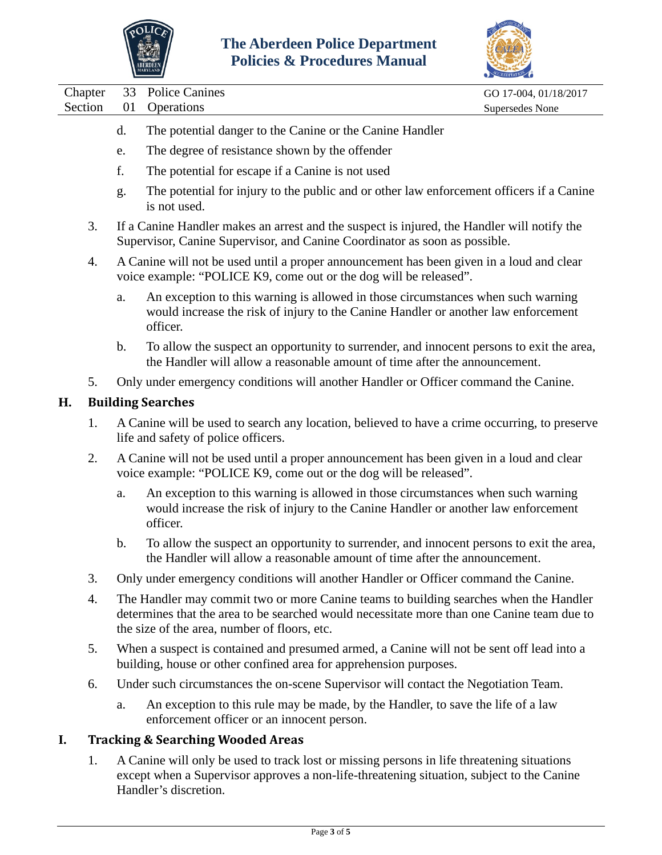

÷



| Chapter | 33                                                                                                                                                                                                               | <b>Police Canines</b>                                                                                                                                                                                                               | GO 17-004, 01/18/2017 |  |  |  |  |
|---------|------------------------------------------------------------------------------------------------------------------------------------------------------------------------------------------------------------------|-------------------------------------------------------------------------------------------------------------------------------------------------------------------------------------------------------------------------------------|-----------------------|--|--|--|--|
| Section | 01                                                                                                                                                                                                               | Operations                                                                                                                                                                                                                          | Supersedes None       |  |  |  |  |
|         | d.                                                                                                                                                                                                               | The potential danger to the Canine or the Canine Handler                                                                                                                                                                            |                       |  |  |  |  |
|         | e.                                                                                                                                                                                                               | The degree of resistance shown by the offender                                                                                                                                                                                      |                       |  |  |  |  |
|         | f.                                                                                                                                                                                                               | The potential for escape if a Canine is not used                                                                                                                                                                                    |                       |  |  |  |  |
|         | g.                                                                                                                                                                                                               | The potential for injury to the public and or other law enforcement officers if a Canine<br>is not used.                                                                                                                            |                       |  |  |  |  |
| 3.      | If a Canine Handler makes an arrest and the suspect is injured, the Handler will notify the<br>Supervisor, Canine Supervisor, and Canine Coordinator as soon as possible.                                        |                                                                                                                                                                                                                                     |                       |  |  |  |  |
| 4.      | A Canine will not be used until a proper announcement has been given in a loud and clear<br>voice example: "POLICE K9, come out or the dog will be released".                                                    |                                                                                                                                                                                                                                     |                       |  |  |  |  |
|         | a.                                                                                                                                                                                                               | An exception to this warning is allowed in those circumstances when such warning<br>would increase the risk of injury to the Canine Handler or another law enforcement<br>officer.                                                  |                       |  |  |  |  |
|         | b.                                                                                                                                                                                                               | To allow the suspect an opportunity to surrender, and innocent persons to exit the area,<br>the Handler will allow a reasonable amount of time after the announcement.                                                              |                       |  |  |  |  |
| 5.      |                                                                                                                                                                                                                  | Only under emergency conditions will another Handler or Officer command the Canine.                                                                                                                                                 |                       |  |  |  |  |
| Н.      | <b>Building Searches</b>                                                                                                                                                                                         |                                                                                                                                                                                                                                     |                       |  |  |  |  |
| 1.      | A Canine will be used to search any location, believed to have a crime occurring, to preserve<br>life and safety of police officers.                                                                             |                                                                                                                                                                                                                                     |                       |  |  |  |  |
| 2.      |                                                                                                                                                                                                                  | A Canine will not be used until a proper announcement has been given in a loud and clear<br>voice example: "POLICE K9, come out or the dog will be released".                                                                       |                       |  |  |  |  |
|         | a.                                                                                                                                                                                                               | An exception to this warning is allowed in those circumstances when such warning<br>would increase the risk of injury to the Canine Handler or another law enforcement<br>officer.                                                  |                       |  |  |  |  |
|         | b.                                                                                                                                                                                                               | To allow the suspect an opportunity to surrender, and innocent persons to exit the area,<br>the Handler will allow a reasonable amount of time after the announcement.                                                              |                       |  |  |  |  |
| 3.      |                                                                                                                                                                                                                  | Only under emergency conditions will another Handler or Officer command the Canine.                                                                                                                                                 |                       |  |  |  |  |
| 4.      |                                                                                                                                                                                                                  | The Handler may commit two or more Canine teams to building searches when the Handler<br>determines that the area to be searched would necessitate more than one Canine team due to<br>the size of the area, number of floors, etc. |                       |  |  |  |  |
| 5.      | When a suspect is contained and presumed armed, a Canine will not be sent off lead into a<br>building, house or other confined area for apprehension purposes.                                                   |                                                                                                                                                                                                                                     |                       |  |  |  |  |
| 6.      |                                                                                                                                                                                                                  | Under such circumstances the on-scene Supervisor will contact the Negotiation Team.                                                                                                                                                 |                       |  |  |  |  |
|         | a.                                                                                                                                                                                                               | An exception to this rule may be made, by the Handler, to save the life of a law<br>enforcement officer or an innocent person.                                                                                                      |                       |  |  |  |  |
| I.      | <b>Tracking &amp; Searching Wooded Areas</b>                                                                                                                                                                     |                                                                                                                                                                                                                                     |                       |  |  |  |  |
| 1.      | A Canine will only be used to track lost or missing persons in life threatening situations<br>except when a Supervisor approves a non-life-threatening situation, subject to the Canine<br>Handler's discretion. |                                                                                                                                                                                                                                     |                       |  |  |  |  |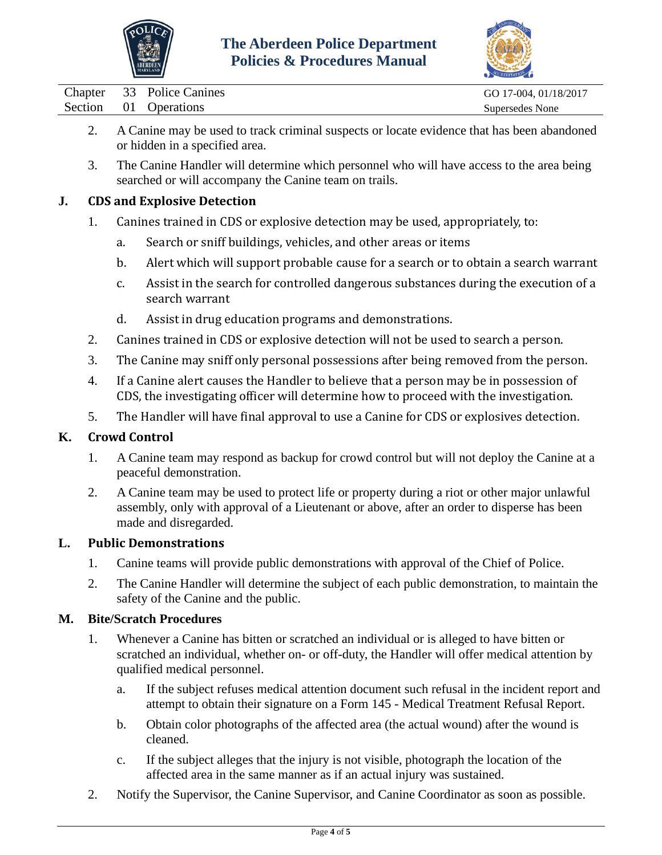



Chapter 33 Police Canines GO 17-004, 01/18/2017

- 2. A Canine may be used to track criminal suspects or locate evidence that has been abandoned or hidden in a specified area.
- 3. The Canine Handler will determine which personnel who will have access to the area being searched or will accompany the Canine team on trails.

## **J. CDS and Explosive Detection**

- 1. Canines trained in CDS or explosive detection may be used, appropriately, to:
	- a. Search or sniff buildings, vehicles, and other areas or items
	- b. Alert which will support probable cause for a search or to obtain a search warrant
	- c. Assist in the search for controlled dangerous substances during the execution of a search warrant
	- d. Assist in drug education programs and demonstrations.
- 2. Canines trained in CDS or explosive detection will not be used to search a person.
- 3. The Canine may sniff only personal possessions after being removed from the person.
- 4. If a Canine alert causes the Handler to believe that a person may be in possession of CDS, the investigating officer will determine how to proceed with the investigation.
- 5. The Handler will have final approval to use a Canine for CDS or explosives detection.

# **K. Crowd Control**

- 1. A Canine team may respond as backup for crowd control but will not deploy the Canine at a peaceful demonstration.
- 2. A Canine team may be used to protect life or property during a riot or other major unlawful assembly, only with approval of a Lieutenant or above, after an order to disperse has been made and disregarded.

## **L. Public Demonstrations**

- 1. Canine teams will provide public demonstrations with approval of the Chief of Police.
- 2. The Canine Handler will determine the subject of each public demonstration, to maintain the safety of the Canine and the public.

## **M. Bite/Scratch Procedures**

- 1. Whenever a Canine has bitten or scratched an individual or is alleged to have bitten or scratched an individual, whether on- or off-duty, the Handler will offer medical attention by qualified medical personnel.
	- a. If the subject refuses medical attention document such refusal in the incident report and attempt to obtain their signature on a Form 145 - Medical Treatment Refusal Report.
	- b. Obtain color photographs of the affected area (the actual wound) after the wound is cleaned.
	- c. If the subject alleges that the injury is not visible, photograph the location of the affected area in the same manner as if an actual injury was sustained.
- 2. Notify the Supervisor, the Canine Supervisor, and Canine Coordinator as soon as possible.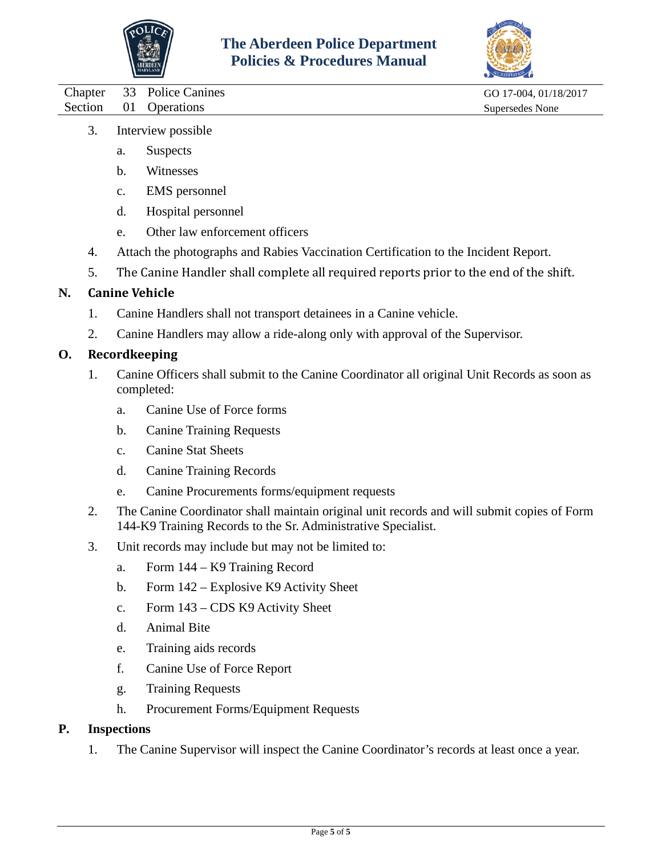



Chapter 33 Police Canines GO 17-004, 01/18/2017 Section 01 Operations Supersedes None

- 3. Interview possible
	- a. Suspects
	- b. Witnesses
	- c. EMS personnel
	- d. Hospital personnel
	- e. Other law enforcement officers
- 4. Attach the photographs and Rabies Vaccination Certification to the Incident Report.
- 5. The Canine Handler shall complete all required reports prior to the end of the shift.

## **N. Canine Vehicle**

- 1. Canine Handlers shall not transport detainees in a Canine vehicle.
- 2. Canine Handlers may allow a ride-along only with approval of the Supervisor.

### **O. Recordkeeping**

- 1. Canine Officers shall submit to the Canine Coordinator all original Unit Records as soon as completed:
	- a. Canine Use of Force forms
	- b. Canine Training Requests
	- c. Canine Stat Sheets
	- d. Canine Training Records
	- e. Canine Procurements forms/equipment requests
- 2. The Canine Coordinator shall maintain original unit records and will submit copies of Form 144-K9 Training Records to the Sr. Administrative Specialist.
- 3. Unit records may include but may not be limited to:
	- a. Form 144 K9 Training Record
	- b. Form 142 Explosive K9 Activity Sheet
	- c. Form 143 CDS K9 Activity Sheet
	- d. Animal Bite
	- e. Training aids records
	- f. Canine Use of Force Report
	- g. Training Requests
	- h. Procurement Forms/Equipment Requests

### **P. Inspections**

1. The Canine Supervisor will inspect the Canine Coordinator's records at least once a year.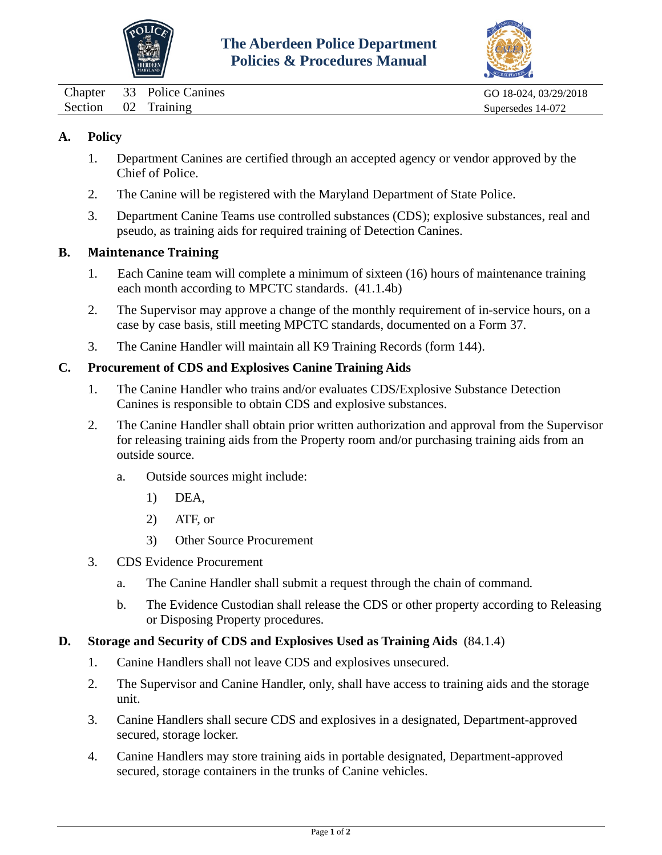



<span id="page-6-0"></span>Chapter 33 Police Canines Go 18-024, 03/29/2018 Section 02 Training Supersedes 14-072

## **A. Policy**

- 1. Department Canines are certified through an accepted agency or vendor approved by the Chief of Police.
- 2. The Canine will be registered with the Maryland Department of State Police.
- 3. Department Canine Teams use controlled substances (CDS); explosive substances, real and pseudo, as training aids for required training of Detection Canines.

#### **B. Maintenance Training**

- 1. Each Canine team will complete a minimum of sixteen (16) hours of maintenance training each month according to MPCTC standards. (41.1.4b)
- 2. The Supervisor may approve a change of the monthly requirement of in-service hours, on a case by case basis, still meeting MPCTC standards, documented on a Form 37.
- 3. The Canine Handler will maintain all K9 Training Records (form 144).

#### **C. Procurement of CDS and Explosives Canine Training Aids**

- 1. The Canine Handler who trains and/or evaluates CDS/Explosive Substance Detection Canines is responsible to obtain CDS and explosive substances.
- 2. The Canine Handler shall obtain prior written authorization and approval from the Supervisor for releasing training aids from the Property room and/or purchasing training aids from an outside source.
	- a. Outside sources might include:
		- 1) DEA,
		- 2) ATF, or
		- 3) Other Source Procurement
- 3. CDS Evidence Procurement
	- a. The Canine Handler shall submit a request through the chain of command*.*
	- b. The Evidence Custodian shall release the CDS or other property according to Releasing or Disposing Property procedures*.*

#### **D. Storage and Security of CDS and Explosives Used as Training Aids** (84.1.4)

- 1. Canine Handlers shall not leave CDS and explosives unsecured.
- 2. The Supervisor and Canine Handler, only, shall have access to training aids and the storage unit.
- 3. Canine Handlers shall secure CDS and explosives in a designated, Department-approved secured, storage locker.
- 4. Canine Handlers may store training aids in portable designated, Department-approved secured, storage containers in the trunks of Canine vehicles.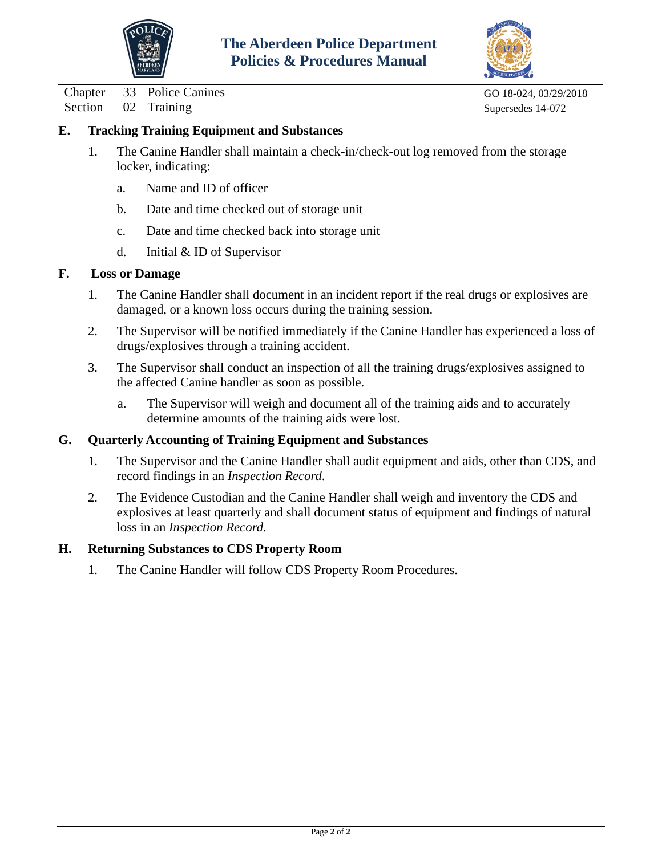



Chapter 33 Police Canines GO 18-024, 03/29/2018<br>Section 02 Training Supersedes 14-072 02 Training Supersedes 14-072

### **E. Tracking Training Equipment and Substances**

- 1. The Canine Handler shall maintain a check-in/check-out log removed from the storage locker, indicating:
	- a. Name and ID of officer
	- b. Date and time checked out of storage unit
	- c. Date and time checked back into storage unit
	- d. Initial & ID of Supervisor

#### **F. Loss or Damage**

- 1. The Canine Handler shall document in an incident report if the real drugs or explosives are damaged, or a known loss occurs during the training session.
- 2. The Supervisor will be notified immediately if the Canine Handler has experienced a loss of drugs/explosives through a training accident.
- 3. The Supervisor shall conduct an inspection of all the training drugs/explosives assigned to the affected Canine handler as soon as possible.
	- a. The Supervisor will weigh and document all of the training aids and to accurately determine amounts of the training aids were lost.

#### **G. Quarterly Accounting of Training Equipment and Substances**

- 1. The Supervisor and the Canine Handler shall audit equipment and aids, other than CDS, and record findings in an *Inspection Record*.
- 2. The Evidence Custodian and the Canine Handler shall weigh and inventory the CDS and explosives at least quarterly and shall document status of equipment and findings of natural loss in an *Inspection Record*.

#### **H. Returning Substances to CDS Property Room**

1. The Canine Handler will follow CDS Property Room Procedures.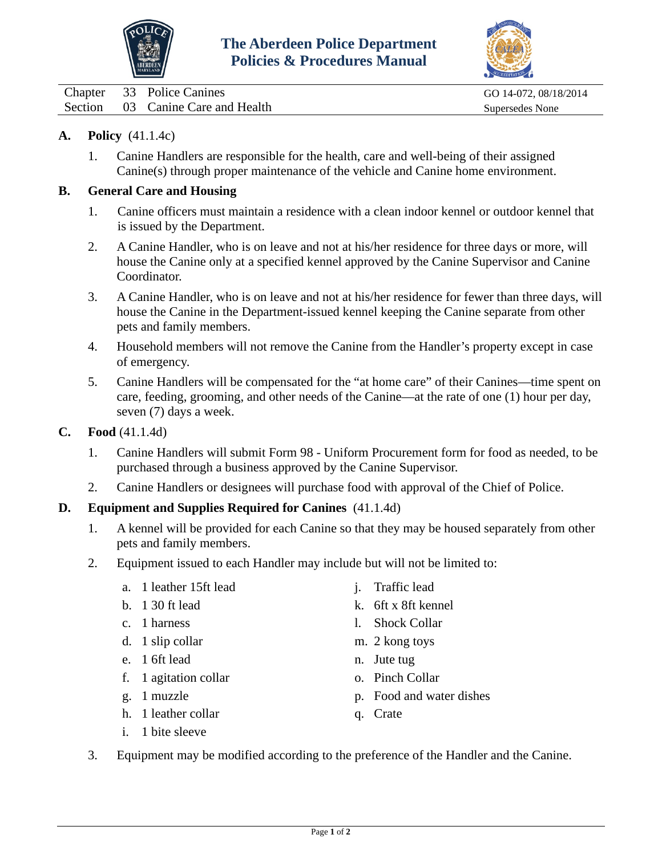



<span id="page-8-0"></span>Chapter 33 Police Canines Go 14-072, 08/18/2014 Section 03 Canine Care and Health Supersedes None

### **A. Policy** (41.1.4c)

1. Canine Handlers are responsible for the health, care and well-being of their assigned Canine(s) through proper maintenance of the vehicle and Canine home environment.

### **B. General Care and Housing**

- 1. Canine officers must maintain a residence with a clean indoor kennel or outdoor kennel that is issued by the Department.
- 2. A Canine Handler, who is on leave and not at his/her residence for three days or more, will house the Canine only at a specified kennel approved by the Canine Supervisor and Canine Coordinator.
- 3. A Canine Handler, who is on leave and not at his/her residence for fewer than three days, will house the Canine in the Department-issued kennel keeping the Canine separate from other pets and family members.
- 4. Household members will not remove the Canine from the Handler's property except in case of emergency.
- 5. Canine Handlers will be compensated for the "at home care" of their Canines—time spent on care, feeding, grooming, and other needs of the Canine—at the rate of one (1) hour per day, seven (7) days a week.
- **C. Food** (41.1.4d)
	- 1. Canine Handlers will submit Form 98 Uniform Procurement form for food as needed, to be purchased through a business approved by the Canine Supervisor.
	- 2. Canine Handlers or designees will purchase food with approval of the Chief of Police.

## **D. Equipment and Supplies Required for Canines** (41.1.4d)

- 1. A kennel will be provided for each Canine so that they may be housed separately from other pets and family members.
- 2. Equipment issued to each Handler may include but will not be limited to:
	- a. 1 leather 15ft lead
	- b. 1 30 ft lead
	- c. 1 harness
	- d. 1 slip collar
	- e. 1 6ft lead
	- f. 1 agitation collar
	- g. 1 muzzle
	- h. 1 leather collar
	- i. 1 bite sleeve
- j. Traffic lead
- k. 6ft x 8ft kennel
- l. Shock Collar
- m. 2 kong toys
- n. Jute tug
- o. Pinch Collar
- p. Food and water dishes
- q. Crate
- 3. Equipment may be modified according to the preference of the Handler and the Canine.